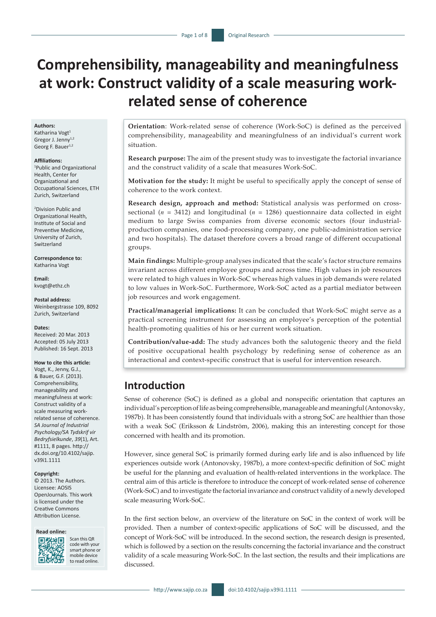# **Comprehensibility, manageability and meaningfulness at work: Construct validity of a scale measuring workrelated sense of coherence**

#### **Authors:**

Katharina Vogt<sup>1</sup> Gregor J. Jenny<sup>1,2</sup> Georg F. Bauer<sup>1,2</sup>

#### **Affiliations:**

1 Public and Organizational Health, Center for Organizational and Occupational Sciences, ETH Zurich, Switzerland

2 Division Public and Organizational Health, Institute of Social and Preventive Medicine, University of Zurich, Switzerland

**Correspondence to:** Katharina Vogt

**Email:** [kvogt@ethz.ch](mailto:kvogt@ethz.ch)

**Postal address:** Weinbergstrasse 109, 8092 Zurich, Switzerland

**Dates:** Received: 20 Mar. 2013 Accepted: 05 July 2013 Published: 16 Sept. 2013

#### **How to cite this article:**

Vogt, K., Jenny, G.J., & Bauer, G.F. (2013). Comprehensibility, manageability and meaningfulness at work: Construct validity of a scale measuring workrelated sense of coherence. *SA Journal of Industrial Psychology/SA Tydskrif vir Bedryfsielkunde*, *39*(1), Art. #1111, 8 pages. [http://](http://dx.doi.org/10.4102/sajip.v39i1.1111) [dx.doi.org/10.4102/sajip.](http://dx.doi.org/10.4102/sajip.v39i1.1111) [v39i1.1111](http://dx.doi.org/10.4102/sajip.v39i1.1111)

#### **Copyright:**

© 2013. The Authors. Licensee: AOSIS OpenJournals. This work is licensed under the Creative Commons Attribution License.

#### **Read online:**



Scan this QR code with your smart phone or mobile device to read online.

**Orientation**: Work-related sense of coherence (Work-SoC) is defined as the perceived comprehensibility, manageability and meaningfulness of an individual's current work situation.

**Research purpose:** The aim of the present study was to investigate the factorial invariance and the construct validity of a scale that measures Work-SoC.

**Motivation for the study:** It might be useful to specifically apply the concept of sense of coherence to the work context.

**Research design, approach and method:** Statistical analysis was performed on crosssectional ( $n = 3412$ ) and longitudinal ( $n = 1286$ ) questionnaire data collected in eight medium to large Swiss companies from diverse economic sectors (four industrialproduction companies, one food-processing company, one public-administration service and two hospitals). The dataset therefore covers a broad range of different occupational groups.

**Main findings:** Multiple-group analyses indicated that the scale's factor structure remains invariant across different employee groups and across time. High values in job resources were related to high values in Work-SoC whereas high values in job demands were related to low values in Work-SoC. Furthermore, Work-SoC acted as a partial mediator between job resources and work engagement.

**Practical/managerial implications:** It can be concluded that Work-SoC might serve as a practical screening instrument for assessing an employee's perception of the potential health-promoting qualities of his or her current work situation.

**Contribution/value-add:** The study advances both the salutogenic theory and the field of positive occupational health psychology by redefining sense of coherence as an interactional and context-specific construct that is useful for intervention research.

# **Introduction**

Sense of coherence (SoC) is defined as a global and nonspecific orientation that captures an individual's perception of life as being comprehensible, manageable and meaningful (Antonovsky, 1987b). It has been consistently found that individuals with a strong SoC are healthier than those with a weak SoC (Eriksson & Lindström, 2006), making this an interesting concept for those concerned with health and its promotion.

However, since general SoC is primarily formed during early life and is also influenced by life experiences outside work (Antonovsky, 1987b), a more context-specific definition of SoC might be useful for the planning and evaluation of health-related interventions in the workplace. The central aim of this article is therefore to introduce the concept of work-related sense of coherence (Work-SoC) and to investigate the factorial invariance and construct validity of a newly developed scale measuring Work-SoC.

In the first section below, an overview of the literature on SoC in the context of work will be provided. Then a number of context-specific applications of SoC will be discussed, and the concept of Work-SoC will be introduced. In the second section, the research design is presented, which is followed by a section on the results concerning the factorial invariance and the construct validity of a scale measuring Work-SoC. In the last section, the results and their implications are discussed.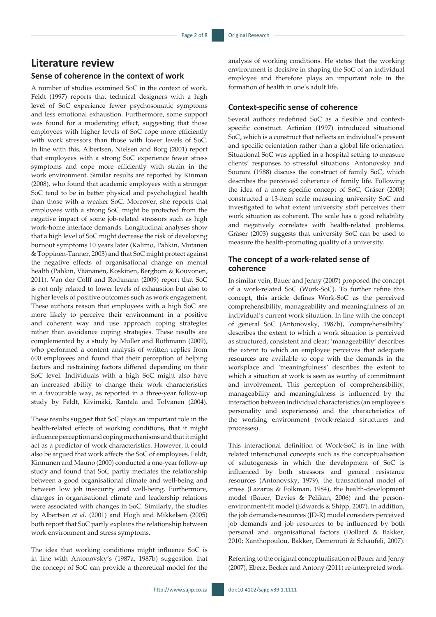# **Literature review Sense of coherence in the context of work**

A number of studies examined SoC in the context of work. Feldt (1997) reports that technical designers with a high level of SoC experience fewer psychosomatic symptoms and less emotional exhaustion. Furthermore, some support was found for a moderating effect, suggesting that those employees with higher levels of SoC cope more efficiently with work stressors than those with lower levels of SoC. In line with this, Albertsen, Nielsen and Borg (2001) report that employees with a strong SoC experience fewer stress symptoms and cope more efficiently with strain in the work environment. Similar results are reported by Kinman (2008), who found that academic employees with a stronger SoC tend to be in better physical and psychological health than those with a weaker SoC. Moreover, she reports that employees with a strong SoC might be protected from the negative impact of some job-related stressors such as high work-home interface demands. Longitudinal analyses show that a high level of SoC might decrease the risk of developing burnout symptoms 10 years later (Kalimo, Pahkin, Mutanen & Toppinen-Tanner, 2003) and that SoC might protect against the negative effects of organisational change on mental health (Pahkin, Väänänen, Koskinen, Bergbom & Kouvonen, 2011). Van der Colff and Rothmann (2009) report that SoC is not only related to lower levels of exhaustion but also to higher levels of positive outcomes such as work engagement. These authors reason that employees with a high SoC are more likely to perceive their environment in a positive and coherent way and use approach coping strategies rather than avoidance coping strategies. These results are complemented by a study by Muller and Rothmann (2009), who performed a content analysis of written replies from 600 employees and found that their perception of helping factors and restraining factors differed depending on their SoC level. Individuals with a high SoC might also have an increased ability to change their work characteristics in a favourable way, as reported in a three-year follow-up study by Feldt, Kivimäki, Rantala and Tolvanen (2004).

These results suggest that SoC plays an important role in the health-related effects of working conditions, that it might influence perception and coping mechanisms and that it might act as a predictor of work characteristics. However, it could also be argued that work affects the SoC of employees. Feldt, Kinnunen and Mauno (2000) conducted a one-year follow-up study and found that SoC partly mediates the relationship between a good organisational climate and well-being and between low job insecurity and well-being. Furthermore, changes in organisational climate and leadership relations were associated with changes in SoC. Similarly, the studies by Albertsen *et al*. (2001) and Hogh and Mikkelsen (2005) both report that SoC partly explains the relationship between work environment and stress symptoms.

The idea that working conditions might influence SoC is in line with Antonovsky's (1987a, 1987b) suggestion that the concept of SoC can provide a theoretical model for the analysis of working conditions. He states that the working environment is decisive in shaping the SoC of an individual employee and therefore plays an important role in the formation of health in one's adult life.

# **Context-specific sense of coherence**

Several authors redefined SoC as a flexible and contextspecific construct. Artinian (1997) introduced situational SoC, which is a construct that reflects an individual's present and specific orientation rather than a global life orientation. Situational SoC was applied in a hospital setting to measure clients' responses to stressful situations. Antonovsky and Sourani (1988) discuss the construct of family SoC, which describes the perceived coherence of family life. Following the idea of a more specific concept of SoC, Gräser (2003) constructed a 13-item scale measuring university SoC and investigated to what extent university staff perceives their work situation as coherent. The scale has a good reliability and negatively correlates with health-related problems. Gräser (2003) suggests that university SoC can be used to measure the health-promoting quality of a university.

# **The concept of a work-related sense of coherence**

In similar vein, Bauer and Jenny (2007) proposed the concept of a work-related SoC (Work-SoC). To further refine this concept, this article defines Work-SoC as the perceived comprehensibility, manageability and meaningfulness of an individual's current work situation. In line with the concept of general SoC (Antonovsky, 1987b), 'comprehensibility' describes the extent to which a work situation is perceived as structured, consistent and clear; 'manageability' describes the extent to which an employee perceives that adequate resources are available to cope with the demands in the workplace and 'meaningfulness' describes the extent to which a situation at work is seen as worthy of commitment and involvement. This perception of comprehensibility, manageability and meaningfulness is influenced by the interaction between individual characteristics (an employee's personality and experiences) and the characteristics of the working environment (work-related structures and processes).

This interactional definition of Work-SoC is in line with related interactional concepts such as the conceptualisation of salutogenesis in which the development of SoC is influenced by both stressors and general resistance resources (Antonovsky, 1979), the transactional model of stress (Lazarus & Folkman, 1984), the health-development model (Bauer, Davies & Pelikan, 2006) and the personenvironment-fit model (Edwards & Shipp, 2007). In addition, the job demands-resources (JD-R) model considers perceived job demands and job resources to be influenced by both personal and organisational factors (Dollard & Bakker, 2010; Xanthopoulou, Bakker, Demerouti & Schaufeli, 2007).

Referring to the original conceptualisation of Bauer and Jenny (2007), Eberz, Becker and Antony (2011) re-interpreted work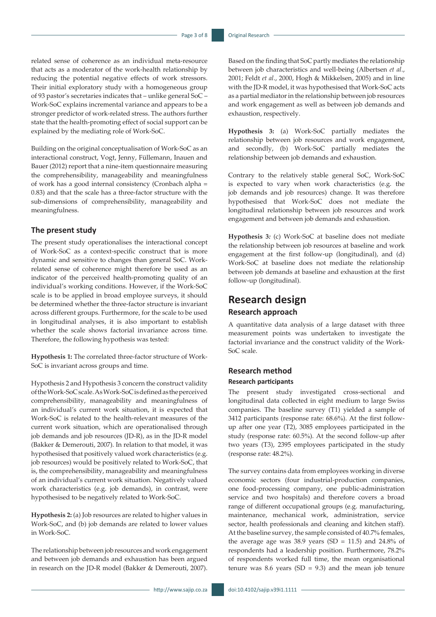related sense of coherence as an individual meta-resource that acts as a moderator of the work-health relationship by reducing the potential negative effects of work stressors. Their initial exploratory study with a homogeneous group of 93 pastor's secretaries indicates that – unlike general SoC – Work-SoC explains incremental variance and appears to be a stronger predictor of work-related stress. The authors further state that the health-promoting effect of social support can be explained by the mediating role of Work-SoC.

Building on the original conceptualisation of Work-SoC as an interactional construct, Vogt, Jenny, Füllemann, Inauen and Bauer (2012) report that a nine-item questionnaire measuring the comprehensibility, manageability and meaningfulness of work has a good internal consistency (Cronbach alpha = 0.83) and that the scale has a three-factor structure with the sub-dimensions of comprehensibility, manageability and meaningfulness.

### **The present study**

The present study operationalises the interactional concept of Work-SoC as a context-specific construct that is more dynamic and sensitive to changes than general SoC. Workrelated sense of coherence might therefore be used as an indicator of the perceived health-promoting quality of an individual's working conditions. However, if the Work-SoC scale is to be applied in broad employee surveys, it should be determined whether the three-factor structure is invariant across different groups. Furthermore, for the scale to be used in longitudinal analyses, it is also important to establish whether the scale shows factorial invariance across time. Therefore, the following hypothesis was tested:

**Hypothesis 1:** The correlated three-factor structure of Work-SoC is invariant across groups and time.

Hypothesis 2 and Hypothesis 3 concern the construct validity of the Work-SoC scale. As Work-SoC is defined as the perceived comprehensibility, manageability and meaningfulness of an individual's current work situation, it is expected that Work-SoC is related to the health-relevant measures of the current work situation, which are operationalised through job demands and job resources (JD-R), as in the JD-R model (Bakker & Demerouti, 2007). In relation to that model, it was hypothesised that positively valued work characteristics (e.g. job resources) would be positively related to Work-SoC, that is, the comprehensibility, manageability and meaningfulness of an individual's current work situation. Negatively valued work characteristics (e.g. job demands), in contrast, were hypothesised to be negatively related to Work-SoC.

**Hypothesis 2:** (a) Job resources are related to higher values in Work-SoC, and (b) job demands are related to lower values in Work-SoC.

The relationship between job resources and work engagement and between job demands and exhaustion has been argued in research on the JD-R model (Bakker & Demerouti, 2007).

Based on the finding that SoC partly mediates the relationship between job characteristics and well-being (Albertsen *et al*., 2001; Feldt *et al*., 2000, Hogh & Mikkelsen, 2005) and in line with the JD-R model, it was hypothesised that Work-SoC acts as a partial mediator in the relationship between job resources and work engagement as well as between job demands and exhaustion, respectively.

**Hypothesis 3:** (a) Work-SoC partially mediates the relationship between job resources and work engagement, and secondly, (b) Work-SoC partially mediates the relationship between job demands and exhaustion.

Contrary to the relatively stable general SoC, Work-SoC is expected to vary when work characteristics (e.g. the job demands and job resources) change. It was therefore hypothesised that Work-SoC does not mediate the longitudinal relationship between job resources and work engagement and between job demands and exhaustion.

**Hypothesis 3***:* (c) Work-SoC at baseline does not mediate the relationship between job resources at baseline and work engagement at the first follow-up (longitudinal), and (d) Work-SoC at baseline does not mediate the relationship between job demands at baseline and exhaustion at the first follow-up (longitudinal).

# **Research design Research approach**

A quantitative data analysis of a large dataset with three measurement points was undertaken to investigate the factorial invariance and the construct validity of the Work-SoC scale.

# **Research method**

# **Research participants**

The present study investigated cross-sectional and longitudinal data collected in eight medium to large Swiss companies. The baseline survey (T1) yielded a sample of 3412 participants (response rate: 68.6%). At the first followup after one year (T2), 3085 employees participated in the study (response rate: 60.5%). At the second follow-up after two years (T3), 2395 employees participated in the study (response rate: 48.2%).

The survey contains data from employees working in diverse economic sectors (four industrial-production companies, one food-processing company, one public-administration service and two hospitals) and therefore covers a broad range of different occupational groups (e.g. manufacturing, maintenance, mechanical work, administration, service sector, health professionals and cleaning and kitchen staff). At the baseline survey, the sample consisted of 40.7% females, the average age was  $38.9$  years (SD = 11.5) and 24.8% of respondents had a leadership position. Furthermore, 78.2% of respondents worked full time, the mean organisational tenure was 8.6 years (SD = 9.3) and the mean job tenure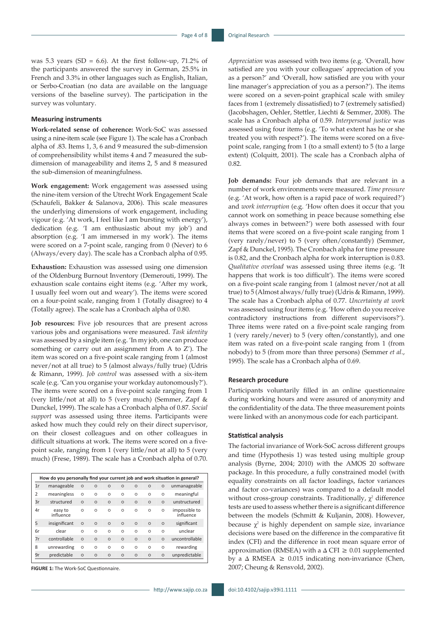was 5.3 years (SD = 6.6). At the first follow-up, 71.2% of the participants answered the survey in German, 25.5% in French and 3.3% in other languages such as English, Italian, or Serbo-Croatian (no data are available on the language versions of the baseline survey). The participation in the survey was voluntary.

#### **Measuring instruments**

**Work-related sense of coherence:** Work-SoC was assessed using a nine-item scale (see Figure 1). The scale has a Cronbach alpha of .83. Items 1, 3, 6 and 9 measured the sub-dimension of comprehensibility whilst items 4 and 7 measured the subdimension of manageability and items 2, 5 and 8 measured the sub-dimension of meaningfulness.

**Work engagement:** Work engagement was assessed using the nine-item version of the Utrecht Work Engagement Scale (Schaufeli, Bakker & Salanova, 2006). This scale measures the underlying dimensions of work engagement, including vigour (e.g. 'At work, I feel like I am bursting with energy'), dedication (e.g. 'I am enthusiastic about my job') and absorption (e.g. 'I am immersed in my work'). The items were scored on a 7-point scale, ranging from 0 (Never) to 6 (Always/every day). The scale has a Cronbach alpha of 0.95.

**Exhaustion:** Exhaustion was assessed using one dimension of the Oldenburg Burnout Inventory (Demerouti, 1999). The exhaustion scale contains eight items (e.g. 'After my work, I usually feel worn out and weary'). The items were scored on a four-point scale, ranging from 1 (Totally disagree) to 4 (Totally agree). The scale has a Cronbach alpha of 0.80.

**Job resources:** Five job resources that are present across various jobs and organisations were measured. *Task identity* was assessed by a single item (e.g. 'In my job, one can produce something or carry out an assignment from A to Z'). The item was scored on a five-point scale ranging from 1 (almost never/not at all true) to 5 (almost always/fully true) (Udris & Rimann, 1999). *Job control* was assessed with a six-item scale (e.g. 'Can you organise your workday autonomously?'). The items were scored on a five-point scale ranging from 1 (very little/not at all) to 5 (very much) (Semmer, Zapf & Dunckel, 1999). The scale has a Cronbach alpha of 0.87. *Social support* was assessed using three items. Participants were asked how much they could rely on their direct supervisor, on their closest colleagues and on other colleagues in difficult situations at work. The items were scored on a fivepoint scale, ranging from 1 (very little/not at all) to 5 (very much) (Frese, 1989). The scale has a Cronbach alpha of 0.70.

|    | How do you personally find your current job and work situation in general? |          |          |          |          |          |          |         |                            |  |  |  |
|----|----------------------------------------------------------------------------|----------|----------|----------|----------|----------|----------|---------|----------------------------|--|--|--|
| 1r | manageable                                                                 | $\circ$  | $\circ$  | $\circ$  | $\circ$  | $\circ$  | $\circ$  | $\circ$ | unmanageable               |  |  |  |
| 2  | meaningless                                                                | $\circ$  | $\Omega$ | $\Omega$ | $\circ$  | $\circ$  | $\circ$  | O       | meaningful                 |  |  |  |
| 3r | structured                                                                 | $\Omega$ | $\Omega$ | $\circ$  | $\circ$  | $\circ$  | $\circ$  | $\circ$ | unstructured               |  |  |  |
| 4r | easy to<br>influence                                                       | $\circ$  | $\circ$  | $\circ$  | $\circ$  | $\circ$  | $\circ$  | O       | impossible to<br>influence |  |  |  |
| 5  | insignificant                                                              | $\Omega$ | $\Omega$ | $\Omega$ | $\Omega$ | $\circ$  | $\circ$  | $\circ$ | significant                |  |  |  |
| 6r | clear                                                                      | $\Omega$ | $\Omega$ | $\Omega$ | $\Omega$ | $\Omega$ | $\Omega$ | O       | unclear                    |  |  |  |
| 7r | controllable                                                               | $\Omega$ | $\Omega$ | $\Omega$ | $\Omega$ | $\circ$  | $\Omega$ | $\circ$ | uncontrollable             |  |  |  |
| 8  | unrewarding                                                                | $\circ$  | $\Omega$ | $\Omega$ | $\Omega$ | $\Omega$ | $\circ$  | O       | rewarding                  |  |  |  |
| 9r | predictable                                                                | $\circ$  | $\circ$  | $\circ$  | $\circ$  | $\circ$  | $\circ$  | $\circ$ | unpredictable              |  |  |  |

*Appreciation* was assessed with two items (e.g. 'Overall, how satisfied are you with your colleagues' appreciation of you as a person?' and 'Overall, how satisfied are you with your line manager's appreciation of you as a person?'). The items were scored on a seven-point graphical scale with smiley faces from 1 (extremely dissatisfied) to 7 (extremely satisfied) (Jacobshagen, Oehler, Stettler, Liechti & Semmer, 2008). The scale has a Cronbach alpha of 0.59. *Interpersonal justice* was assessed using four items (e.g. 'To what extent has he or she treated you with respect?'). The items were scored on a fivepoint scale, ranging from 1 (to a small extent) to 5 (to a large extent) (Colquitt, 2001). The scale has a Cronbach alpha of 0.82.

**Job demands:** Four job demands that are relevant in a number of work environments were measured. *Time pressure* (e.g. 'At work, how often is a rapid pace of work required?') and *work interruption* (e.g. 'How often does it occur that you cannot work on something in peace because something else always comes in between?') were both assessed with four items that were scored on a five-point scale ranging from 1 (very rarely/never) to 5 (very often/constantly) (Semmer, Zapf & Dunckel, 1995). The Cronbach alpha for time pressure is 0.82, and the Cronbach alpha for work interruption is 0.83. *Qualitative overload* was assessed using three items (e.g. 'It happens that work is too difficult'). The items were scored on a five-point scale ranging from 1 (almost never/not at all true) to 5 (Almost always/fully true) (Udris & Rimann, 1999). The scale has a Cronbach alpha of 0.77. *Uncertainty at work* was assessed using four items (e.g. 'How often do you receive contradictory instructions from different supervisors?'). Three items were rated on a five-point scale ranging from 1 (very rarely/never) to 5 (very often/constantly), and one item was rated on a five-point scale ranging from 1 (from nobody) to 5 (from more than three persons) (Semmer *et al*., 1995). The scale has a Cronbach alpha of 0.69.

### **Research procedure**

Participants voluntarily filled in an online questionnaire during working hours and were assured of anonymity and the confidentiality of the data. The three measurement points were linked with an anonymous code for each participant.

#### **Statistical analysis**

The factorial invariance of Work-SoC across different groups and time (Hypothesis 1) was tested using multiple group analysis (Byrne, 2004; 2010) with the AMOS 20 software package. In this procedure, a fully constrained model (with equality constraints on all factor loadings, factor variances and factor co-variances) was compared to a default model without cross-group constraints. Traditionally,  $\chi^2$  difference tests are used to assess whether there is a significant difference between the models (Schmitt & Kuljanin, 2008). However, because  $\chi^2$  is highly dependent on sample size, invariance decisions were based on the difference in the comparative fit index (CFI) and the difference in root mean square error of approximation (RMSEA) with a  $\Delta$  CFI ≥ 0.01 supplemented by a  $\Delta$  RMSEA  $\geq$  0.015 indicating non-invariance (Chen, **FIGURE 1:** The Work-SoC Questionnaire. **The Work-SoC Questionnaire.** The Work-Soc Questionnaire. **The Work-Soc Questionnaire.** The **Social Communisty Communisty Communisty** Communisty Communisty Communisty Communisty Comm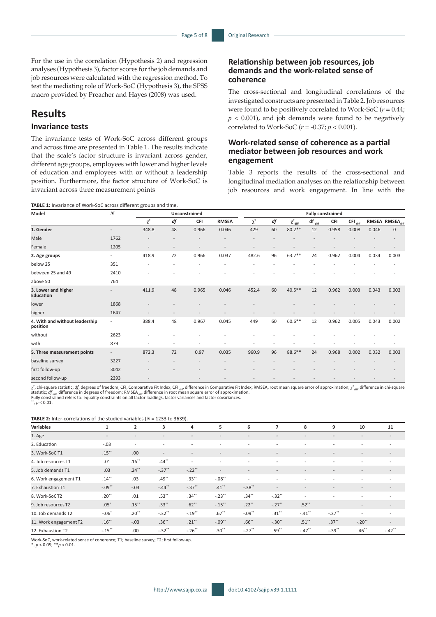For the use in the correlation (Hypothesis 2) and regression analyses (Hypothesis 3), factor scores for the job demands and job resources were calculated with the regression method. To test the mediating role of Work-SoC (Hypothesis 3), the SPSS macro provided by Preacher and Hayes (2008) was used.

# **Results**

# **Invariance tests**

The invariance tests of Work-SoC across different groups and across time are presented in Table 1. The results indicate that the scale's factor structure is invariant across gender, different age groups, employees with lower and higher levels of education and employees with or without a leadership position. Furthermore, the factor structure of Work-SoC is invariant across three measurement points



# **Relationship between job resources, job demands and the work-related sense of coherence**

The cross-sectional and longitudinal correlations of the investigated constructs are presented in Table 2. Job resources were found to be positively correlated to Work-SoC (*r* = 0.44;  $p < 0.001$ ), and job demands were found to be negatively correlated to Work-SoC  $(r = -0.37; p < 0.001)$ .

# **Work-related sense of coherence as a partial mediator between job resources and work engagement**

Table 3 reports the results of the cross-sectional and longitudinal mediation analyses on the relationship between job resources and work engagement. In line with the

| Model                                      | $\boldsymbol{N}$         | Unconstrained |                          |       |                | <b>Fully constrained</b> |    |                          |                    |       |              |       |              |
|--------------------------------------------|--------------------------|---------------|--------------------------|-------|----------------|--------------------------|----|--------------------------|--------------------|-------|--------------|-------|--------------|
|                                            |                          | $\chi^2$      | df                       | CFI   | <b>RMSEA</b>   | $\chi^2$                 | df | $\chi^2$ <sub>diff</sub> | $df_{\text{diff}}$ | CFI   | $CFI_{diff}$ |       | RMSEA RMSEA  |
| 1. Gender                                  | $\overline{a}$           | 348.8         | 48                       | 0.966 | 0.046          | 429                      | 60 | $80.2**$                 | 12                 | 0.958 | 0.008        | 0.046 | $\mathbf{0}$ |
| Male                                       | 1762                     |               |                          |       |                |                          |    |                          |                    |       |              |       |              |
| Female                                     | 1205                     |               | $\overline{\phantom{a}}$ |       | $\overline{a}$ | $\overline{a}$           |    | $\overline{\phantom{0}}$ |                    |       |              |       |              |
| 2. Age groups                              | $\overline{\phantom{a}}$ | 418.9         | 72                       | 0.966 | 0.037          | 482.6                    | 96 | $63.7**$                 | 24                 | 0.962 | 0.004        | 0.034 | 0.003        |
| below 25                                   | 351                      |               |                          |       |                |                          |    |                          |                    |       |              |       |              |
| between 25 and 49                          | 2410                     |               |                          |       |                |                          |    |                          |                    |       |              |       |              |
| above 50                                   | 764                      |               |                          |       |                |                          |    |                          |                    |       |              |       |              |
| 3. Lower and higher<br><b>Education</b>    |                          | 411.9         | 48                       | 0.965 | 0.046          | 452.4                    | 60 | $40.5**$                 | 12                 | 0.962 | 0.003        | 0.043 | 0.003        |
| lower                                      | 1868                     |               |                          |       |                |                          |    |                          |                    |       |              |       |              |
| higher                                     | 1647                     |               |                          |       |                |                          |    |                          |                    |       |              |       |              |
| 4. With and without leadership<br>position | $\overline{\phantom{a}}$ | 388.4         | 48                       | 0.967 | 0.045          | 449                      | 60 | $60.6***$                | 12                 | 0.962 | 0.005        | 0.043 | 0.002        |
| without                                    | 2623                     |               |                          |       |                |                          |    |                          |                    |       |              |       |              |
| with                                       | 879                      |               | $\overline{a}$           |       |                |                          |    |                          |                    |       |              |       |              |
| 5. Three measurement points                | $\overline{\phantom{a}}$ | 872.3         | 72                       | 0.97  | 0.035          | 960.9                    | 96 | 88.6**                   | 24                 | 0.968 | 0.002        | 0.032 | 0.003        |
| baseline survey                            | 3227                     |               |                          |       |                |                          |    |                          |                    |       |              |       |              |
| first follow-up                            | 3042                     |               |                          |       |                |                          |    |                          |                    |       |              |       |              |
| second follow-up                           | 2393                     |               |                          |       |                |                          |    |                          |                    |       |              |       |              |

x<sup>3</sup>, chi-square statistic; *df*, degrees of freedom; CFI, Comparative Fit Index; CFI <sub>ism</sub> difference in Comparative Fit Index; RMSEA, root mean square error of approximation; x<sup>2</sup><sub>dim</sub> difference in chi-square<br>statistic

 $\frac{1}{p}$ ,  $p < 0.01$ .

#### **TABLE 2:** Inter-correlations of the studied variables (*N* = 1233 to 3639).

| Variables              |                          | $\overline{2}$           | 3                        | 4                        | 5                        | 6                        |                          | 8                        | 9                        | 10                       | 11                       |
|------------------------|--------------------------|--------------------------|--------------------------|--------------------------|--------------------------|--------------------------|--------------------------|--------------------------|--------------------------|--------------------------|--------------------------|
| 1. Age                 | $\overline{\phantom{a}}$ | $\overline{\phantom{0}}$ | $\overline{\phantom{0}}$ | $\overline{a}$           | $\overline{\phantom{0}}$ |                          | $\overline{a}$           | $\overline{\phantom{0}}$ | $\overline{\phantom{a}}$ |                          | $\overline{\phantom{a}}$ |
| 2. Education           | $-.03$                   | $\overline{\phantom{0}}$ |                          | -                        |                          |                          | $\overline{\phantom{a}}$ | $\overline{a}$           |                          |                          |                          |
| 3. Work-SoC T1         | $.15***$                 | .00                      | $\overline{\phantom{a}}$ |                          |                          |                          |                          |                          |                          |                          |                          |
| 4. Job resources T1    | .01                      | $.16***$                 | $.44***$                 | $\overline{\phantom{0}}$ |                          |                          | ٠                        |                          | $\overline{\phantom{a}}$ |                          | $\overline{\phantom{a}}$ |
| 5. Job demands T1      | .03                      | $.24***$                 | $-.37***$                | $-.22**$                 | $\overline{\phantom{0}}$ | $\overline{\phantom{a}}$ | $\overline{\phantom{0}}$ | $\overline{\phantom{0}}$ | $\overline{\phantom{a}}$ | $\overline{\phantom{0}}$ | $\qquad \qquad -$        |
| 6. Work engagement T1  | $.14***$                 | .03                      | $.49***$                 | $.33***$                 | $-.08**$                 | $\overline{\phantom{a}}$ | $\overline{\phantom{0}}$ |                          |                          |                          |                          |
| 7. Exhaustion T1       | $-.09**$                 | $-.03$                   | $-.44***$                | $-.37***$                | $.41***$                 | $-.38***$                | -                        |                          |                          |                          | $\overline{\phantom{0}}$ |
| 8. Work-SoCT2          | $.20**$                  | .01                      | $.53***$                 | $.34***$                 | $-.23**$                 | $.34**$                  | $-.32**$                 |                          |                          |                          |                          |
| 9. Job resources T2    | $.05*$                   | $.15***$                 | $.33***$                 | $.62***$                 | $-.15***$                | $.22***$                 | $-.27***$                | $.52***$                 |                          | $\overline{\phantom{a}}$ | $\overline{\phantom{a}}$ |
| 10. Job demands T2     | $-.06*$                  | $.20**$                  | $-.32**$                 | $-.19**$                 | $.67***$                 | $-.09**$                 | $.31**$                  | $-.41"$                  | $-.27***$                | $\overline{\phantom{a}}$ | $\overline{\phantom{a}}$ |
| 11. Work engagement T2 | $.16***$                 | $-.03$                   | $.36**$                  | $.21***$                 | $-.09**$                 | $.66***$                 | $-.30**$                 | $.51***$                 | $.37***$                 | $-.20$ **                | $\overline{\phantom{a}}$ |
| 12. Exhaustion T2      | $-.15***$                | .00                      | $-.32**$                 | $-.26***$                | $.30**$                  | $-.27**$                 | $.59***$                 | $-.47***$                | $-.39**$                 | $.46***$                 | $-.42**$                 |

Work-SoC, work-related sense of coherence; T1; baseline survey; T2; first follow-up. \*, *p* < 0.05; \*\**p* < 0.01.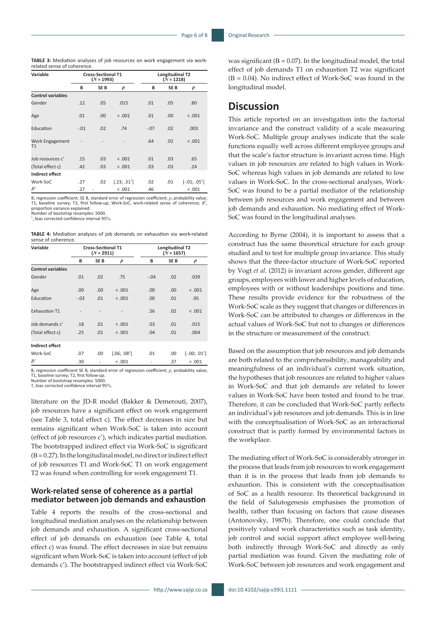longitudinal model.

**Discussion**

**TABLE 3:** Mediation analyses of job resources on work engagement via workrelated sense of coherence.

| Variable                 |        | <b>Cross-Sectional T1</b><br>$(N = 1993)$ |                        |        | <b>Longitudinal T2</b><br>$(N = 1218)$ |                  |  |
|--------------------------|--------|-------------------------------------------|------------------------|--------|----------------------------------------|------------------|--|
|                          | B      | SE <sub>B</sub>                           | $\boldsymbol{p}$       | в      | SE <sub>B</sub>                        | $\boldsymbol{p}$ |  |
| <b>Control variables</b> |        |                                           |                        |        |                                        |                  |  |
| Gender                   | .12    | .05                                       | .015                   | .01    | .05                                    | .80              |  |
| Age                      | .01    | .00.                                      | < .001                 | .01    | .00.                                   | < .001           |  |
| Education                | $-.01$ | .02                                       | .74                    | $-.07$ | .02                                    | .003             |  |
| Work Engagement<br>T1    |        |                                           |                        | .64    | .02                                    | < .001           |  |
| Job resources c'         | .15    | .03                                       | < 0.001                | .01    | .03                                    | .65              |  |
| (Total effect c)         | .42    | .03                                       | < 0.001                | .03    | .03                                    | .24              |  |
| Indirect effect          |        |                                           |                        |        |                                        |                  |  |
| Work-SoC                 | .27    | .02                                       | $[.23; .31^{\dagger}]$ | .02    | .01                                    | $[-.01; .05]$    |  |
| $R^2$                    | .27    | $\overline{a}$                            | < .001                 | .46    |                                        | < .001           |  |

B, regression coefficient; SE B, standard error of regression coefficient; *p*, probability value; T1, baseline survey; T2, first follow-up; Work-SoC, work-related sense of coherence; R<sup>2</sup>, proportion variance explained.

Number of bootstrap resamples: 5000.

† , bias corrected confidence interval 95%.

**TABLE 4:** Mediation analyses of job demands on exhaustion via work-related sense of coherence.

| Variable                 |                | <b>Cross-Sectional T1</b><br>$(N = 2911)$ |                  |        | <b>Longitudinal T2</b><br>$(N = 1657)$ |                  |
|--------------------------|----------------|-------------------------------------------|------------------|--------|----------------------------------------|------------------|
|                          | в              | SE <sub>B</sub>                           | $\boldsymbol{p}$ | B      | SE <sub>B</sub>                        | $\boldsymbol{p}$ |
| <b>Control variables</b> |                |                                           |                  |        |                                        |                  |
| Gender                   | .01            | .02                                       | .75              | $-.04$ | .02                                    | .039             |
| Age                      | .00            | .00                                       | < 0.001          | .00    | .00.                                   | < 0.001          |
| Education                | $-.03$         | .01                                       | < .001           | .00    | .01                                    | .95              |
| <b>Exhaustion T1</b>     | $\overline{a}$ |                                           |                  | .56    | .02                                    | < .001           |
| Job demands c'           | .18            | .01                                       | < .001           | .03    | .01                                    | .015             |
| (Total effect c)         | .25            | .01                                       | < 0.001          | .04    | .01                                    | .004             |
| Indirect effect          |                |                                           |                  |        |                                        |                  |
| Work-SoC                 | .07            | .00                                       | [.06; .08]       | .01    | .00                                    | $[-.00; .01]$    |
| $R^2$                    | .30            |                                           | < 0.001          |        | .37                                    | < .001           |

B, regression coefficient SE B, standard error of regression coefficient; *p*, probability value;

T1, baseline survey; T2, first follow-up. Number of bootstrap resamples: 5000.

†, bias corrected confidence interval 95%.

literature on the JD-R model (Bakker & Demerouti, 2007), job resources have a significant effect on work engagement (see Table 3, total effect c). The effect decreases in size but remains significant when Work-SoC is taken into account (effect of job resources c'), which indicates partial mediation. The bootstrapped indirect effect via Work-SoC is significant (B = 0.27). In the longitudinal model, no direct or indirect effect of job resources T1 and Work-SoC T1 on work engagement T2 was found when controlling for work engagement T1.

# **Work-related sense of coherence as a partial mediator between job demands and exhaustion**

Table 4 reports the results of the cross-sectional and longitudinal mediation analyses on the relationship between job demands and exhaustion. A significant cross-sectional effect of job demands on exhaustion (see Table 4, total effect c) was found. The effect decreases in size but remains significant when Work-SoC is taken into account (effect of job demands c'). The bootstrapped indirect effect via Work-SoC

functions equally well across different employee groups and that the scale's factor structure is invariant across time. High values in job resources are related to high values in Work-

SoC whereas high values in job demands are related to low values in Work-SoC. In the cross-sectional analyses, Work-SoC was found to be a partial mediator of the relationship between job resources and work engagement and between job demands and exhaustion. No mediating effect of Work-SoC was found in the longitudinal analyses.

was significant ( $B = 0.07$ ). In the longitudinal model, the total effect of job demands T1 on exhaustion T2 was significant (B = 0.04). No indirect effect of Work-SoC was found in the

This article reported on an investigation into the factorial invariance and the construct validity of a scale measuring Work-SoC. Multiple group analyses indicate that the scale

According to Byrne (2004), it is important to assess that a construct has the same theoretical structure for each group studied and to test for multiple group invariance. This study shows that the three-factor structure of Work-SoC reported by Vogt *et al*. (2012) is invariant across gender, different age groups, employees with lower and higher levels of education, employees with or without leaderships positions and time. These results provide evidence for the robustness of the Work-SoC scale as they suggest that changes or differences in Work-SoC can be attributed to changes or differences in the actual values of Work-SoC but not to changes or differences in the structure or measurement of the construct.

Based on the assumption that job resources and job demands are both related to the comprehensibility, manageability and meaningfulness of an individual's current work situation, the hypotheses that job resources are related to higher values in Work-SoC and that job demands are related to lower values in Work-SoC have been tested and found to be true. Therefore, it can be concluded that Work-SoC partly reflects an individual's job resources and job demands. This is in line with the conceptualisation of Work-SoC as an interactional construct that is partly formed by environmental factors in the workplace.

The mediating effect of Work-SoC is considerably stronger in the process that leads from job resources to work engagement than it is in the process that leads from job demands to exhaustion. This is consistent with the conceptualisation of SoC as a health resource. Its theoretical background in the field of Salutogenesis emphasises the promotion of health, rather than focusing on factors that cause diseases (Antonovsky, 1987b). Therefore, one could conclude that positively valued work characteristics such as task identity, job control and social support affect employee well-being both indirectly through Work-SoC and directly as only partial mediation was found. Given the mediating role of Work-SoC between job resources and work engagement and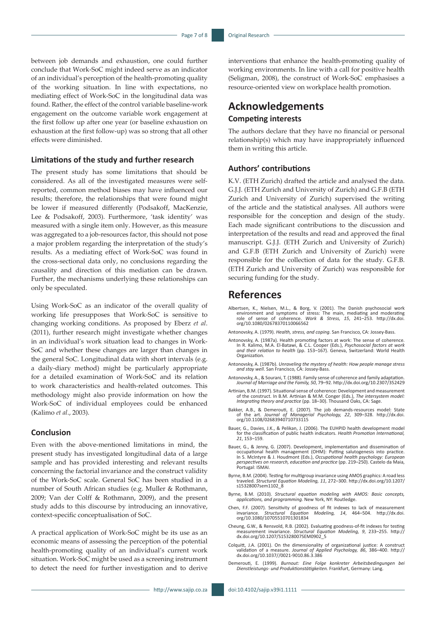between job demands and exhaustion, one could further conclude that Work-SoC might indeed serve as an indicator of an individual's perception of the health-promoting quality of the working situation. In line with expectations, no mediating effect of Work-SoC in the longitudinal data was found. Rather, the effect of the control variable baseline-work engagement on the outcome variable work engagement at the first follow up after one year (or baseline exhaustion on exhaustion at the first follow-up) was so strong that all other effects were diminished.

### **Limitations of the study and further research**

The present study has some limitations that should be considered. As all of the investigated measures were selfreported, common method biases may have influenced our results; therefore, the relationships that were found might be lower if measured differently (Podsakoff, MacKenzie, Lee & Podsakoff, 2003). Furthermore, 'task identity' was measured with a single item only. However, as this measure was aggregated to a job-resources factor, this should not pose a major problem regarding the interpretation of the study's results. As a mediating effect of Work-SoC was found in the cross-sectional data only, no conclusions regarding the causality and direction of this mediation can be drawn. Further, the mechanisms underlying these relationships can only be speculated.

Using Work-SoC as an indicator of the overall quality of working life presupposes that Work-SoC is sensitive to changing working conditions. As proposed by Eberz *et al*. (2011), further research might investigate whether changes in an individual's work situation lead to changes in Work-SoC and whether these changes are larger than changes in the general SoC. Longitudinal data with short intervals (e.g. a daily-diary method) might be particularly appropriate for a detailed examination of Work-SoC and its relation to work characteristics and health-related outcomes. This methodology might also provide information on how the Work-SoC of individual employees could be enhanced (Kalimo *et al*., 2003).

### **Conclusion**

Even with the above-mentioned limitations in mind, the present study has investigated longitudinal data of a large sample and has provided interesting and relevant results concerning the factorial invariance and the construct validity of the Work-SoC scale. General SoC has been studied in a number of South African studies (e.g. Muller & Rothmann, 2009; Van der Colff & Rothmann, 2009), and the present study adds to this discourse by introducing an innovative, context-specific conceptualisation of SoC.

A practical application of Work-SoC might be its use as an economic means of assessing the perception of the potential health-promoting quality of an individual's current work situation. Work-SoC might be used as a screening instrument to detect the need for further investigation and to derive

interventions that enhance the health-promoting quality of working environments. In line with a call for positive health (Seligman, 2008), the construct of Work-SoC emphasises a resource-oriented view on workplace health promotion.

# **Acknowledgements Competing interests**

The authors declare that they have no financial or personal relationship(s) which may have inappropriately influenced them in writing this article.

### **Authors' contributions**

K.V. (ETH Zurich) drafted the article and analysed the data. G.J.J. (ETH Zurich and University of Zurich) and G.F.B (ETH Zurich and University of Zurich) supervised the writing of the article and the statistical analyses. All authors were responsible for the conception and design of the study. Each made significant contributions to the discussion and interpretation of the results and read and approved the final manuscript. G.J.J. (ETH Zurich and University of Zurich) and G.F.B (ETH Zurich and University of Zurich) were responsible for the collection of data for the study. G.F.B. (ETH Zurich and University of Zurich) was responsible for securing funding for the study.

# **References**

- Albertsen, K., Nielsen, M.L., & Borg, V. (2001). The Danish psychosocial work environment and symptoms of stress: The main, mediating and moderating role of sense of coherence. *Work & Stress, 15*, 241–253. [http://dx.doi.](http://dx.doi.org/10.1080/02678370110066562) [org/10.1080/02678370110066562](http://dx.doi.org/10.1080/02678370110066562)
- Antonovsky, A. (1979). *Health, stress, and coping*. San Francisco, CA: Jossey-Bass.
- Antonovsky, A. (1987a). Health promoting factors at work: The sense of coherence.<br>In R. Kalimo, M.A. El-Batawi, & C.L. Cooper (Eds.), *Psychosocial factors at work*<br>and their relation to health (pp. 153–167). Geneva, Switz Organization.
- Antonovsky, A. (1987b). *Unraveling the mystery of health: How people manage stress and stay well*. San Francisco, CA: Jossey-Bass.
- Antonovsky, A., & Sourani, T. (1988). Family sense of coherence and family adaptation. *Journal of Marriage and the Family, 50*, 79–92.<http://dx.doi.org/10.2307/352429>
- Artinian, B.M. (1997). Situational sense of coherence: Development and measurement of the construct. In B.M. Artinian & M.M. Conger (Eds.), *The intersystem model: Integrating theory and practice* (pp. 18–30). Thousand Oaks, CA: Sage.
- Bakker, A.B., & Demerouti, E. (2007). The job demands-resources model: State of the art. *Journal of Managerial Psychology, 22*, 309–328. [http://dx.doi.](http://dx.doi.org/10.1108/02683940710733115)<br>[org/10.1108/02683940710733115](http://dx.doi.org/10.1108/02683940710733115)
- Bauer, G., Davies, J.K., & Pelikan, J. (2006). The EUHPID health development model for the classification of public health indicators. *Health Promotion International, 21*, 153–159.
- Bauer, G., & Jenny, G. (2007). Development, implementation and dissemination of occupational health management (OHM): Putting salutogenesis into practice.<br>In S. McIntyre & J. Houdmont (Eds.), Occupational health psychology: European<br>perspectives on research, education and practice (pp. 219–250). Caste Portugal: ISMAI.
- Byrne, B.M. (2004). Testing for multigroup invariance using AMOS graphics: A road less traveled. *Structural Equation Modeling, 11*, 272–300. [http://dx.doi.org/10.1207/](http://dx.doi.org/10.1207/s15328007sem1102_8) [s15328007sem1102\\_8](http://dx.doi.org/10.1207/s15328007sem1102_8)
- Byrne, B.M. (2010). *Structural equation modeling with AMOS: Basic concepts, applications, and programming.* New York, NY: Routledge.
- Chen, F.F. (2007). Sensitivity of goodness of fit indexes to lack of measurement invariance. Structural Equation Modeling. 14. 464-504. http://dx.doi. invariance. *Structural Equation Modeling, 14*, 464–504. [http://dx.doi.](http://dx.doi.org/10.1080/10705510701301834) [org/10.1080/10705510701301834](http://dx.doi.org/10.1080/10705510701301834)
- Cheung, G.W., & Rensvold, R.B. (2002). Evaluating goodness-of-fit indexes for testing measurement invariance. *Structural Equation Modeling, 9*, 233–255. [http://](http://dx.doi.org/10.1207/S15328007SEM0902_5) [dx.doi.org/10.1207/S15328007SEM0902\\_5](http://dx.doi.org/10.1207/S15328007SEM0902_5)
- Colquitt, J.A. (2001). On the dimensionality of organizational justice: A construct validation of a measure. *Journal of Applied Psychology, 86*, 386–400. [http://](http://dx.doi.org/10.1037//0021-9010.86.3.386) [dx.doi.org/10.1037//0021-9010.86.3.386](http://dx.doi.org/10.1037//0021-9010.86.3.386)
- Demerouti, E. (1999). *Burnout: Eine Folge konkreter Arbeitsbedingungen bei Dienstleistungs- und Produktionstätigkeiten.* Frankfurt, Germany: Lang.